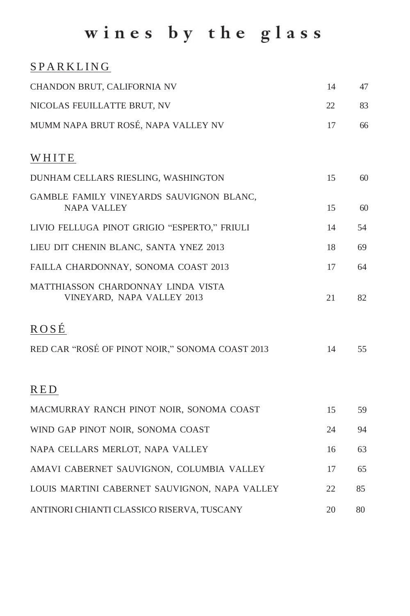# wines by the glass

### **SPARKLING**

| CHANDON BRUT, CALIFORNIA NV                                      | 14 | 47 |
|------------------------------------------------------------------|----|----|
| NICOLAS FEUILLATTE BRUT, NV                                      | 22 | 83 |
| MUMM NAPA BRUT ROSÉ, NAPA VALLEY NV                              | 17 | 66 |
| WHITE                                                            |    |    |
| DUNHAM CELLARS RIESLING, WASHINGTON                              | 15 | 60 |
| GAMBLE FAMILY VINEYARDS SAUVIGNON BLANC,<br><b>NAPA VALLEY</b>   | 15 | 60 |
| LIVIO FELLUGA PINOT GRIGIO "ESPERTO," FRIULI                     | 14 | 54 |
| LIEU DIT CHENIN BLANC, SANTA YNEZ 2013                           | 18 | 69 |
| FAILLA CHARDONNAY, SONOMA COAST 2013                             | 17 | 64 |
| MATTHIASSON CHARDONNAY LINDA VISTA<br>VINEYARD, NAPA VALLEY 2013 | 21 | 82 |
| ROSÉ                                                             |    |    |
| RED CAR "ROSÉ OF PINOT NOIR," SONOMA COAST 2013                  | 14 | 55 |
| <b>RED</b>                                                       |    |    |
| MACMURRAY RANCH PINOT NOIR, SONOMA COAST                         | 15 | 59 |
| WIND GAP PINOT NOIR, SONOMA COAST                                | 24 | 94 |
| NAPA CELLARS MERLOT, NAPA VALLEY                                 | 16 | 63 |
| AMAVI CABERNET SAUVIGNON, COLUMBIA VALLEY                        | 17 | 65 |
| LOUIS MARTINI CABERNET SAUVIGNON, NAPA VALLEY                    | 22 | 85 |
| ANTINORI CHIANTI CLASSICO RISERVA, TUSCANY                       | 20 | 80 |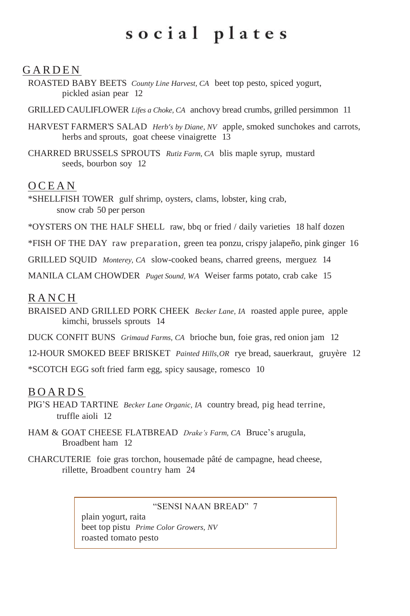## social plates

### **GARDEN**

ROASTED BABY BEETS *County Line Harvest, CA* beet top pesto, spiced yogurt, pickled asian pear 12

GRILLED CAULIFLOWER *Lifes a Choke, CA* anchovy bread crumbs, grilled persimmon 11

- HARVEST FARMER'S SALAD *Herb's by Diane, NV* apple, smoked sunchokes and carrots, herbs and sprouts, goat cheese vinaigrette 13
- CHARRED BRUSSELS SPROUTS *Rutiz Farm, CA* blis maple syrup, mustard seeds, bourbon soy 12

### **OCEAN**

- \*SHELLFISH TOWER gulf shrimp, oysters, clams, lobster, king crab, snow crab 50 per person
- \*OYSTERS ON THE HALF SHELL raw, bbq or fried / daily varieties 18 half dozen
- \*FISH OF THE DAY raw preparation, green tea ponzu, crispy jalapeño, pink ginger 16
- GRILLED SQUID *Monterey, CA* slow-cooked beans, charred greens, merguez 14
- MANILA CLAM CHOWDER *Puget Sound, WA* Weiser farms potato, crab cake 15

#### **RANCH**

- BRAISED AND GRILLED PORK CHEEK *Becker Lane, IA* roasted apple puree, apple kimchi, brussels sprouts 14
- DUCK CONFIT BUNS *Grimaud Farms, CA* brioche bun, foie gras, red onion jam 12
- 12-HOUR SMOKED BEEF BRISKET *Painted Hills,OR* rye bread, sauerkraut, gruyère 12

\*SCOTCH EGG soft fried farm egg, spicy sausage, romesco 10

### **BOARDS**

- PIG'S HEAD TARTINE *Becker Lane Organic, IA* country bread, pig head terrine, truffle aioli 12
- HAM & GOAT CHEESE FLATBREAD *Drake's Farm, CA* Bruce's arugula, Broadbent ham 12
- CHARCUTERIE foie gras torchon, housemade pâté de campagne, head cheese, rillette, Broadbent country ham 24

"SENSI NAAN BREAD" 7

plain yogurt, raita beet top pistu *Prime Color Growers, NV* roasted tomato pesto